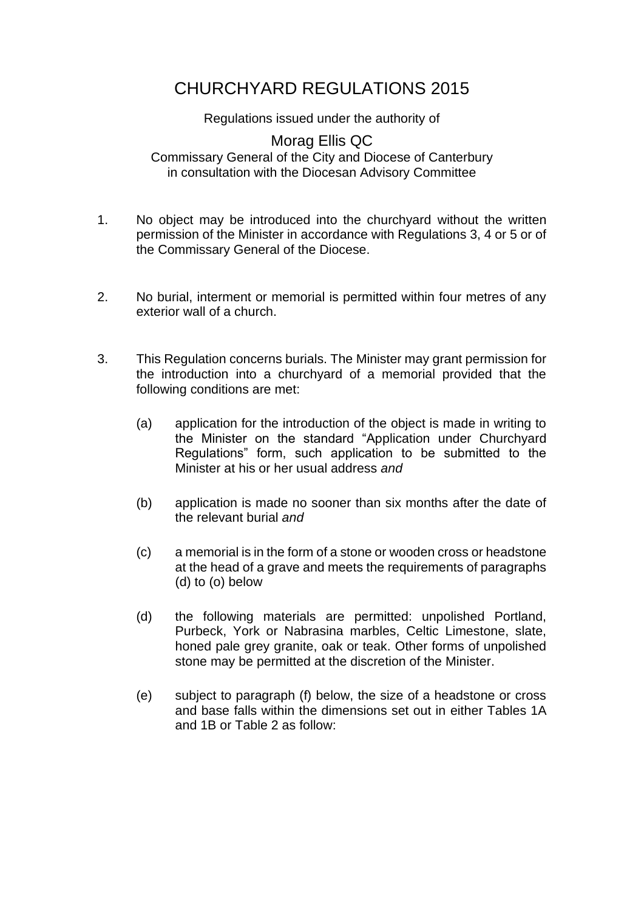## CHURCHYARD REGULATIONS 2015

Regulations issued under the authority of

Morag Ellis QC Commissary General of the City and Diocese of Canterbury in consultation with the Diocesan Advisory Committee

- 1. No object may be introduced into the churchyard without the written permission of the Minister in accordance with Regulations 3, 4 or 5 or of the Commissary General of the Diocese.
- 2. No burial, interment or memorial is permitted within four metres of any exterior wall of a church.
- 3. This Regulation concerns burials. The Minister may grant permission for the introduction into a churchyard of a memorial provided that the following conditions are met:
	- (a) application for the introduction of the object is made in writing to the Minister on the standard "Application under Churchyard Regulations" form, such application to be submitted to the Minister at his or her usual address *and*
	- (b) application is made no sooner than six months after the date of the relevant burial *and*
	- (c) a memorial is in the form of a stone or wooden cross or headstone at the head of a grave and meets the requirements of paragraphs (d) to (o) below
	- (d) the following materials are permitted: unpolished Portland, Purbeck, York or Nabrasina marbles, Celtic Limestone, slate, honed pale grey granite, oak or teak. Other forms of unpolished stone may be permitted at the discretion of the Minister.
	- (e) subject to paragraph (f) below, the size of a headstone or cross and base falls within the dimensions set out in either Tables 1A and 1B or Table 2 as follow: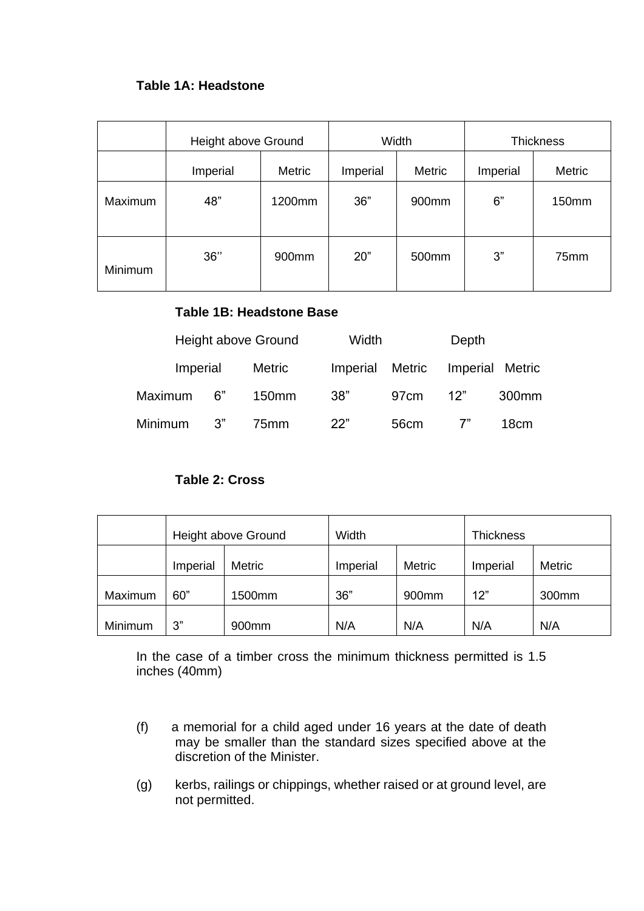## **Table 1A: Headstone**

|         | Height above Ground |        | Width    |                   | <b>Thickness</b> |        |
|---------|---------------------|--------|----------|-------------------|------------------|--------|
|         | Imperial            | Metric | Imperial | Metric            | Imperial         | Metric |
| Maximum | 48"                 | 1200mm | 36"      | 900mm             | 6"               | 150mm  |
| Minimum | 36"                 | 900mm  | 20"      | 500 <sub>mm</sub> | 3"               | 75mm   |

## **Table 1B: Headstone Base**

|          | Height above Ground |                   | Width           |      | Depth |                   |
|----------|---------------------|-------------------|-----------------|------|-------|-------------------|
| Imperial |                     | Metric            | Imperial Metric |      |       | Imperial Metric   |
| Maximum  | 6"                  | 150 <sub>mm</sub> | 38"             | 97cm | 12"   | 300 <sub>mm</sub> |
| Minimum  | .3"                 | 75 <sub>mm</sub>  | 22"             | 56cm |       | 18cm              |

## **Table 2: Cross**

|         | Height above Ground |               | Width    |               | <b>Thickness</b> |               |
|---------|---------------------|---------------|----------|---------------|------------------|---------------|
|         | Imperial            | <b>Metric</b> | Imperial | <b>Metric</b> | Imperial         | <b>Metric</b> |
| Maximum | 60"                 | 1500mm        | 36"      | 900mm         | 12"              | 300mm         |
| Minimum | 3"                  | 900mm         | N/A      | N/A           | N/A              | N/A           |

In the case of a timber cross the minimum thickness permitted is 1.5 inches (40mm)

- (f) a memorial for a child aged under 16 years at the date of death may be smaller than the standard sizes specified above at the discretion of the Minister.
- (g) kerbs, railings or chippings, whether raised or at ground level, are not permitted.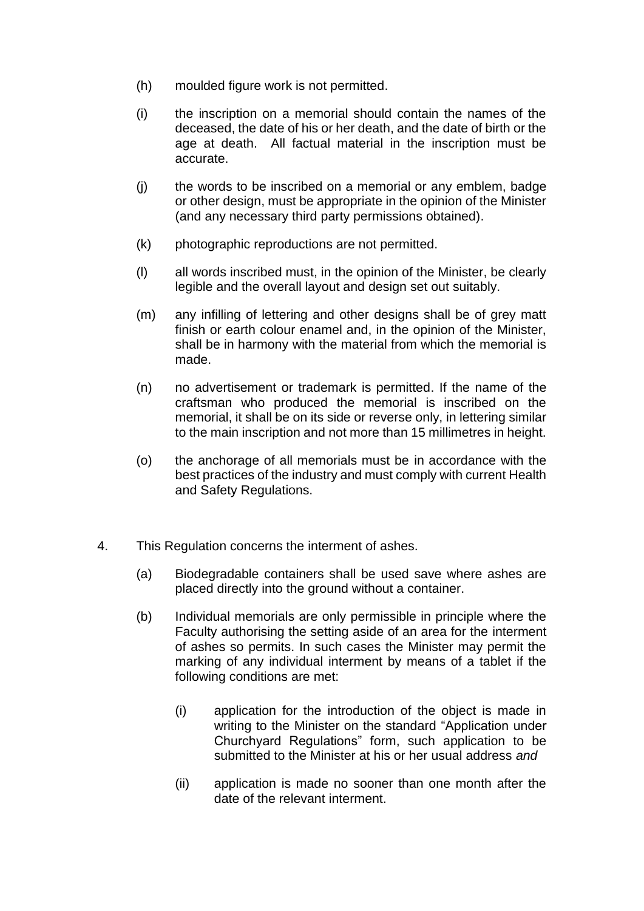- (h) moulded figure work is not permitted.
- (i) the inscription on a memorial should contain the names of the deceased, the date of his or her death, and the date of birth or the age at death. All factual material in the inscription must be accurate.
- (j) the words to be inscribed on a memorial or any emblem, badge or other design, must be appropriate in the opinion of the Minister (and any necessary third party permissions obtained).
- (k) photographic reproductions are not permitted.
- (l) all words inscribed must, in the opinion of the Minister, be clearly legible and the overall layout and design set out suitably.
- (m) any infilling of lettering and other designs shall be of grey matt finish or earth colour enamel and, in the opinion of the Minister, shall be in harmony with the material from which the memorial is made.
- (n) no advertisement or trademark is permitted. If the name of the craftsman who produced the memorial is inscribed on the memorial, it shall be on its side or reverse only, in lettering similar to the main inscription and not more than 15 millimetres in height.
- (o) the anchorage of all memorials must be in accordance with the best practices of the industry and must comply with current Health and Safety Regulations.
- 4. This Regulation concerns the interment of ashes.
	- (a) Biodegradable containers shall be used save where ashes are placed directly into the ground without a container.
	- (b) Individual memorials are only permissible in principle where the Faculty authorising the setting aside of an area for the interment of ashes so permits. In such cases the Minister may permit the marking of any individual interment by means of a tablet if the following conditions are met:
		- (i) application for the introduction of the object is made in writing to the Minister on the standard "Application under Churchyard Regulations" form, such application to be submitted to the Minister at his or her usual address *and*
		- (ii) application is made no sooner than one month after the date of the relevant interment.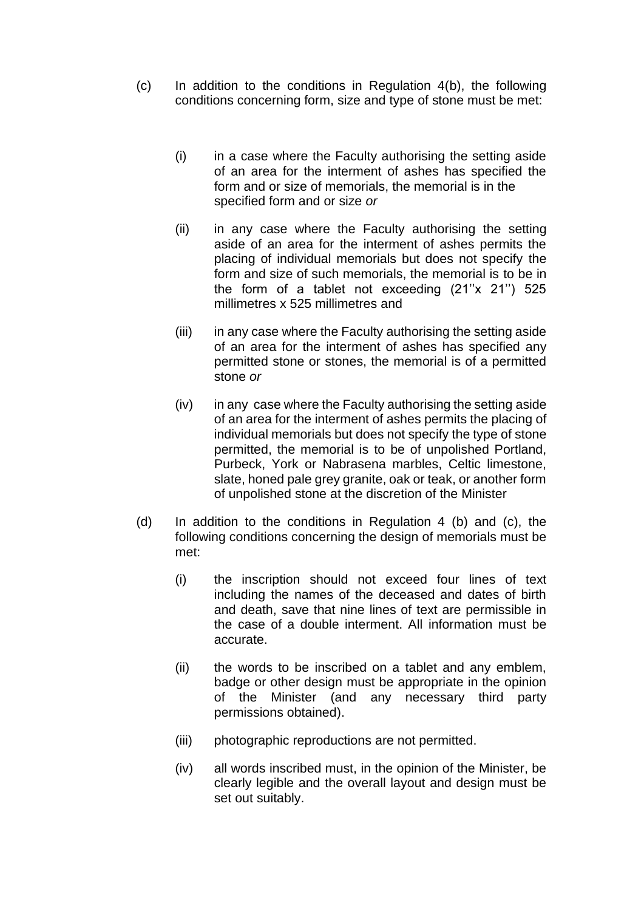- (c) In addition to the conditions in Regulation 4(b), the following conditions concerning form, size and type of stone must be met:
	- (i) in a case where the Faculty authorising the setting aside of an area for the interment of ashes has specified the form and or size of memorials, the memorial is in the specified form and or size *or*
	- (ii) in any case where the Faculty authorising the setting aside of an area for the interment of ashes permits the placing of individual memorials but does not specify the form and size of such memorials, the memorial is to be in the form of a tablet not exceeding  $(21"x 21") 525$ millimetres x 525 millimetres and
	- (iii) in any case where the Faculty authorising the setting aside of an area for the interment of ashes has specified any permitted stone or stones, the memorial is of a permitted stone *or*
	- (iv) in any case where the Faculty authorising the setting aside of an area for the interment of ashes permits the placing of individual memorials but does not specify the type of stone permitted, the memorial is to be of unpolished Portland, Purbeck, York or Nabrasena marbles, Celtic limestone, slate, honed pale grey granite, oak or teak, or another form of unpolished stone at the discretion of the Minister
- (d) In addition to the conditions in Regulation 4 (b) and (c), the following conditions concerning the design of memorials must be met:
	- (i) the inscription should not exceed four lines of text including the names of the deceased and dates of birth and death, save that nine lines of text are permissible in the case of a double interment. All information must be accurate.
	- (ii) the words to be inscribed on a tablet and any emblem, badge or other design must be appropriate in the opinion of the Minister (and any necessary third party permissions obtained).
	- (iii) photographic reproductions are not permitted.
	- (iv) all words inscribed must, in the opinion of the Minister, be clearly legible and the overall layout and design must be set out suitably.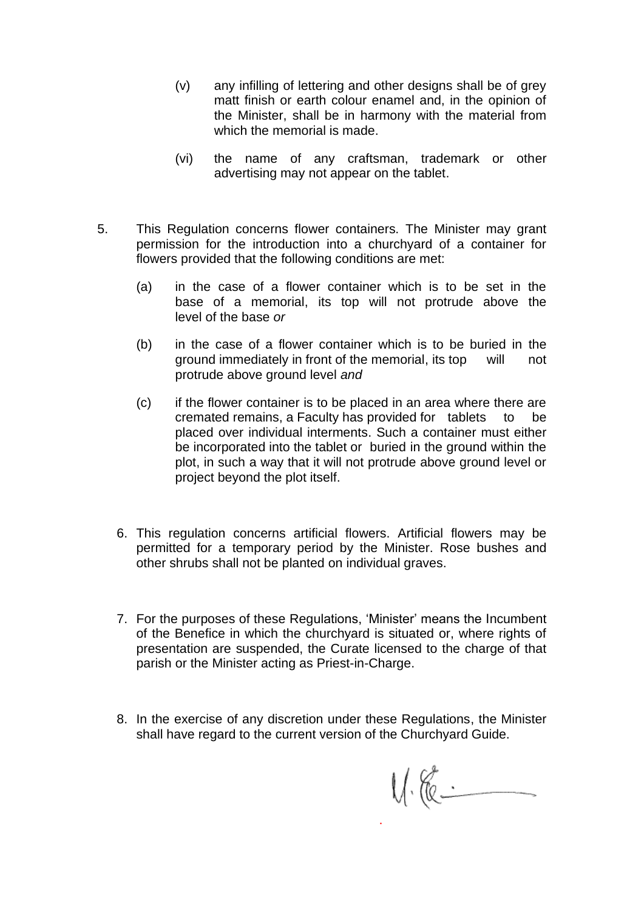- (v) any infilling of lettering and other designs shall be of grey matt finish or earth colour enamel and, in the opinion of the Minister, shall be in harmony with the material from which the memorial is made.
- (vi) the name of any craftsman, trademark or other advertising may not appear on the tablet.
- 5. This Regulation concerns flower containers. The Minister may grant permission for the introduction into a churchyard of a container for flowers provided that the following conditions are met:
	- (a) in the case of a flower container which is to be set in the base of a memorial, its top will not protrude above the level of the base *or*
	- (b) in the case of a flower container which is to be buried in the ground immediately in front of the memorial, its top will not protrude above ground level *and*
	- (c) if the flower container is to be placed in an area where there are cremated remains, a Faculty has provided for tablets to be placed over individual interments. Such a container must either be incorporated into the tablet or buried in the ground within the plot, in such a way that it will not protrude above ground level or project beyond the plot itself.
	- 6. This regulation concerns artificial flowers. Artificial flowers may be permitted for a temporary period by the Minister. Rose bushes and other shrubs shall not be planted on individual graves.
	- 7. For the purposes of these Regulations, 'Minister' means the Incumbent of the Benefice in which the churchyard is situated or, where rights of presentation are suspended, the Curate licensed to the charge of that parish or the Minister acting as Priest-in-Charge.
	- 8. In the exercise of any discretion under these Regulations, the Minister shall have regard to the current version of the Churchyard Guide.

.

 $V_{1}$